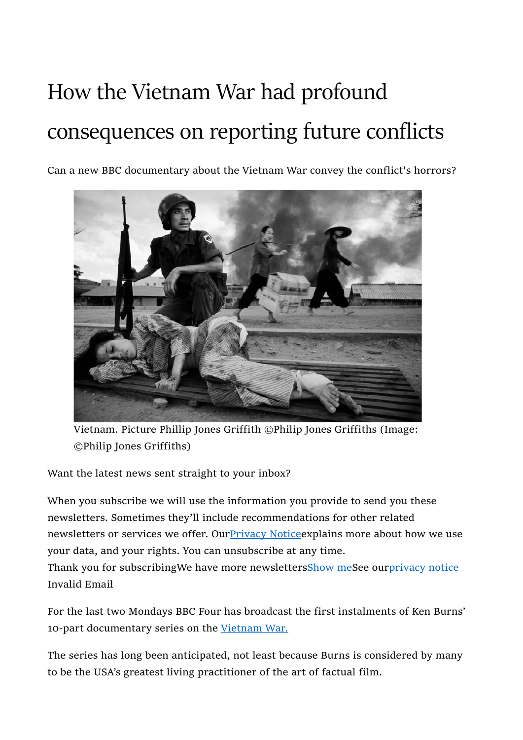## How the Vietnam War had profound consequences on reporting future conflicts

Can a new BBC documentary about the Vietnam War convey the conflict's horrors?



Vietnam. Picture Phillip Jones Griffith ©Philip Jones Griffiths (Image: ©Philip Jones Griffiths)

Want the latest news sent straight to your inbox?

When you subscribe we will use the information you provide to send you these newsletters. Sometimes they'll include recommendations for other related newsletters or services we offer. Our **Privacy Notice** explains more about how we use your data, and your rights. You can unsubscribe at any time. Thank you for subscribingWe have more newslettersShow meSee ourprivacy notice Invalid Email

For the last two Mondays BBC Four has broadcast the first instalments of Ken Burns' 10-part documentary series on the Vietnam War.

The series has long been anticipated, not least because Burns is considered by many to be the USA's greatest living practitioner of the art of factual film.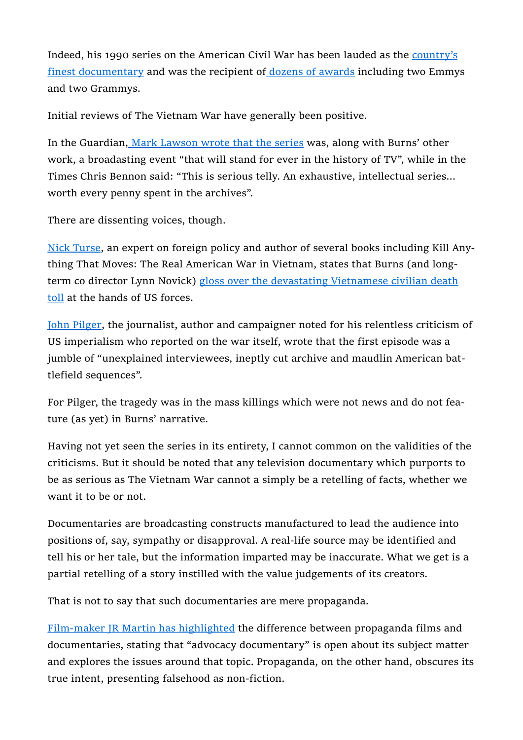Indeed, his 1990 series on the American Civil War has been lauded as the country's finest documentary and was the recipient of dozens of awards including two Emmys and two Grammys.

Initial reviews of The Vietnam War have generally been positive.

In the Guardian, Mark Lawson wrote that the series was, along with Burns' other work, a broadasting event "that will stand for ever in the history of TV", while in the Times Chris Bennon said: "This is serious telly. An exhaustive, intellectual series… worth every penny spent in the archives".

There are dissenting voices, though.

Nick Turse, an expert on foreign policy and author of several books including Kill Anything That Moves: The Real American War in Vietnam, states that Burns (and longterm co director Lynn Novick) gloss over the devastating Vietnamese civilian death toll at the hands of US forces.

John Pilger, the journalist, author and campaigner noted for his relentless criticism of US imperialism who reported on the war itself, wrote that the first episode was a jumble of "unexplained interviewees, ineptly cut archive and maudlin American battlefield sequences".

For Pilger, the tragedy was in the mass killings which were not news and do not feature (as yet) in Burns' narrative.

Having not yet seen the series in its entirety, I cannot common on the validities of the criticisms. But it should be noted that any television documentary which purports to be as serious as The Vietnam War cannot a simply be a retelling of facts, whether we want it to be or not.

Documentaries are broadcasting constructs manufactured to lead the audience into positions of, say, sympathy or disapproval. A real-life source may be identified and tell his or her tale, but the information imparted may be inaccurate. What we get is a partial retelling of a story instilled with the value judgements of its creators.

That is not to say that such documentaries are mere propaganda.

Film-maker JR Martin has highlighted the difference between propaganda films and documentaries, stating that "advocacy documentary" is open about its subject matter and explores the issues around that topic. Propaganda, on the other hand, obscures its true intent, presenting falsehood as non-fiction.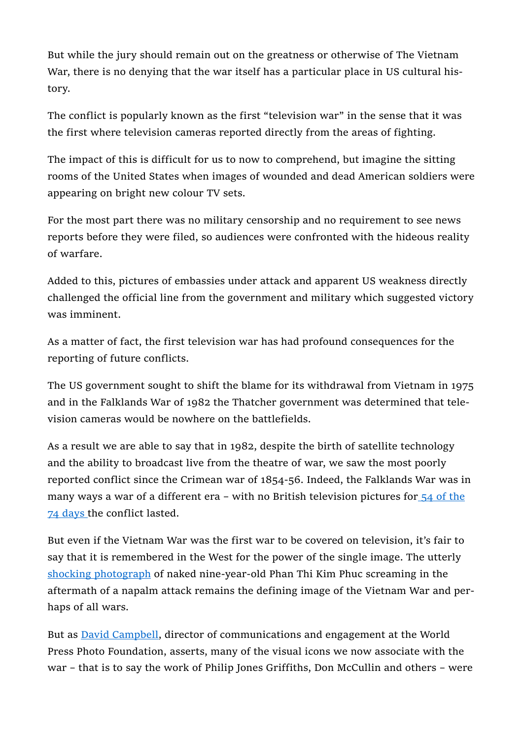But while the jury should remain out on the greatness or otherwise of The Vietnam War, there is no denying that the war itself has a particular place in US cultural history.

The conflict is popularly known as the first "television war" in the sense that it was the first where television cameras reported directly from the areas of fighting.

The impact of this is difficult for us to now to comprehend, but imagine the sitting rooms of the United States when images of wounded and dead American soldiers were appearing on bright new colour TV sets.

For the most part there was no military censorship and no requirement to see news reports before they were filed, so audiences were confronted with the hideous reality of warfare.

Added to this, pictures of embassies under attack and apparent US weakness directly challenged the official line from the government and military which suggested victory was imminent.

As a matter of fact, the first television war has had profound consequences for the reporting of future conflicts.

The US government sought to shift the blame for its withdrawal from Vietnam in 1975 and in the Falklands War of 1982 the Thatcher government was determined that television cameras would be nowhere on the battlefields.

As a result we are able to say that in 1982, despite the birth of satellite technology and the ability to broadcast live from the theatre of war, we saw the most poorly reported conflict since the Crimean war of 1854-56. Indeed, the Falklands War was in many ways a war of a different era – with no British television pictures for 54 of the 74 days the conflict lasted.

But even if the Vietnam War was the first war to be covered on television, it's fair to say that it is remembered in the West for the power of the single image. The utterly shocking photograph of naked nine-year-old Phan Thi Kim Phuc screaming in the aftermath of a napalm attack remains the defining image of the Vietnam War and perhaps of all wars.

But as David Campbell, director of communications and engagement at the World Press Photo Foundation, asserts, many of the visual icons we now associate with the war – that is to say the work of Philip Jones Griffiths, Don McCullin and others – were